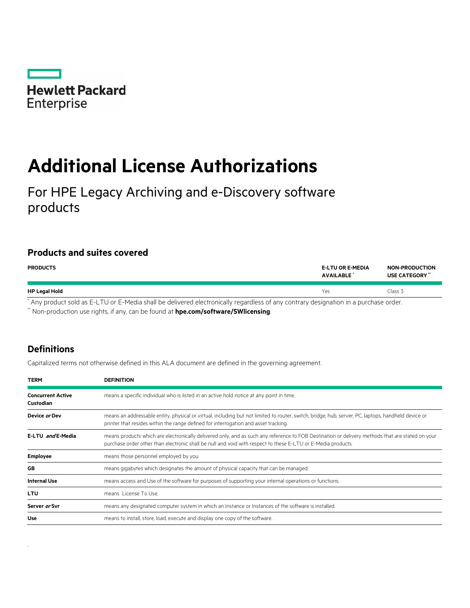

# **Additional License Authorizations**

For HPE Legacy Archiving and e-Discovery software products

## **Products and suites covered**

| <b>PRODUCTS</b>              | <b>E-LTU OR E-MEDIA</b><br>AVAILABLE                                                                                                                                                                                                 | <b>NON-PRODUCTION</b><br>USE CATEGORY" |
|------------------------------|--------------------------------------------------------------------------------------------------------------------------------------------------------------------------------------------------------------------------------------|----------------------------------------|
| <b>HP Legal Hold</b>         | Yes                                                                                                                                                                                                                                  | Class 3                                |
| $\cdots$<br>.<br>.<br>______ | $\blacksquare$ . The contract of the contract of the contract of the contract of the contract of the contract of the contract of the contract of the contract of the contract of the contract of the contract of the contract of the |                                        |

Any product sold as E-LTU or E-Media shall be delivered electronically regardless of any contrary designation in a purchase order. \*\* Non-production use rights, if any, can be found at **[hpe.com/software/SWlicensing](http://www.hpe.com/software/SWlicensing)**.

## **Definitions**

.

Capitalized terms not otherwise defined in this ALA document are defined in the governing agreement.

| <b>TERM</b>                           | <b>DEFINITION</b>                                                                                                                                                                                                                                                |
|---------------------------------------|------------------------------------------------------------------------------------------------------------------------------------------------------------------------------------------------------------------------------------------------------------------|
| <b>Concurrent Active</b><br>Custodian | means a specific individual who is listed in an active hold notice at any point in time.                                                                                                                                                                         |
| Device or Dev                         | means an addressable entity, physical or virtual, including but not limited to router, switch, bridge, hub, server, PC, laptops, handheld device or<br>printer that resides within the range defined for interrogation and asset tracking.                       |
| E-LTU and E-Media                     | means products which are electronically delivered only, and as such any reference to FOB Destination or delivery methods that are stated on your<br>purchase order other than electronic shall be null and void with respect to these E-LTU or E-Media products. |
| <b>Employee</b>                       | means those personnel employed by you.                                                                                                                                                                                                                           |
| GB                                    | means gigabytes which designates the amount of physical capacity that can be managed.                                                                                                                                                                            |
| <b>Internal Use</b>                   | means access and Use of the software for purposes of supporting your internal operations or functions.                                                                                                                                                           |
| LTU                                   | means License To Use.                                                                                                                                                                                                                                            |
| Server or Svr                         | means any designated computer system in which an Instance or Instances of the software is installed.                                                                                                                                                             |
| Use                                   | means to install, store, load, execute and display one copy of the software.                                                                                                                                                                                     |